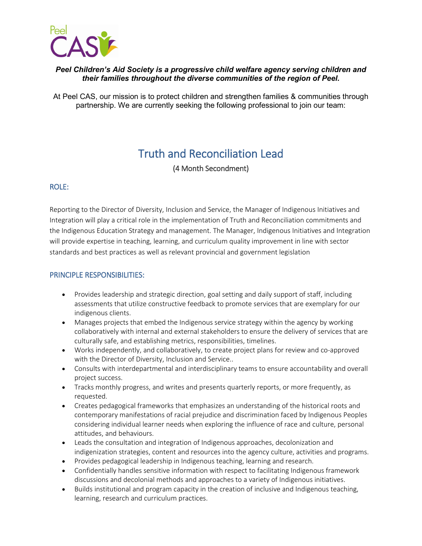

# *Peel Children's Aid Society is a progressive child welfare agency serving children and their families throughout the diverse communities of the region of Peel.*

At Peel CAS, our mission is to protect children and strengthen families & communities through partnership. We are currently seeking the following professional to join our team:

# Truth and Reconciliation Lead

(4 Month Secondment)

# ROLE:

Reporting to the Director of Diversity, Inclusion and Service, the Manager of Indigenous Initiatives and Integration will play a critical role in the implementation of Truth and Reconciliation commitments and the Indigenous Education Strategy and management. The Manager, Indigenous Initiatives and Integration will provide expertise in teaching, learning, and curriculum quality improvement in line with sector standards and best practices as well as relevant provincial and government legislation

# PRINCIPLE RESPONSIBILITIES:

- Provides leadership and strategic direction, goal setting and daily support of staff, including assessments that utilize constructive feedback to promote services that are exemplary for our indigenous clients.
- Manages projects that embed the Indigenous service strategy within the agency by working collaboratively with internal and external stakeholders to ensure the delivery of services that are culturally safe, and establishing metrics, responsibilities, timelines.
- Works independently, and collaboratively, to create project plans for review and co-approved with the Director of Diversity, Inclusion and Service..
- Consults with interdepartmental and interdisciplinary teams to ensure accountability and overall project success.
- Tracks monthly progress, and writes and presents quarterly reports, or more frequently, as requested.
- Creates pedagogical frameworks that emphasizes an understanding of the historical roots and contemporary manifestations of racial prejudice and discrimination faced by Indigenous Peoples considering individual learner needs when exploring the influence of race and culture, personal attitudes, and behaviours.
- Leads the consultation and integration of Indigenous approaches, decolonization and indigenization strategies, content and resources into the agency culture, activities and programs.
- Provides pedagogical leadership in Indigenous teaching, learning and research.
- Confidentially handles sensitive information with respect to facilitating Indigenous framework discussions and decolonial methods and approaches to a variety of Indigenous initiatives.
- Builds institutional and program capacity in the creation of inclusive and Indigenous teaching, learning, research and curriculum practices.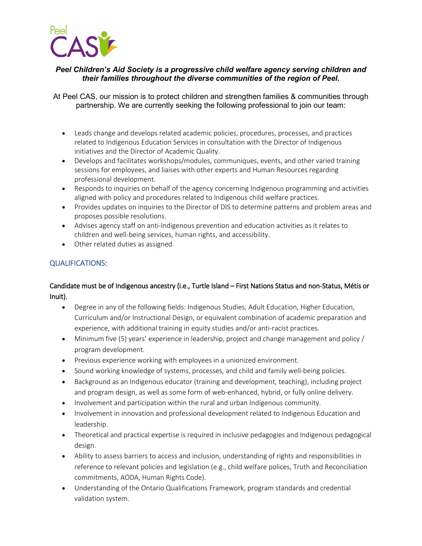

# *Peel Children's Aid Society is a progressive child welfare agency serving children and their families throughout the diverse communities of the region of Peel.*

At Peel CAS, our mission is to protect children and strengthen families & communities through partnership. We are currently seeking the following professional to join our team:

- Leads change and develops related academic policies, procedures, processes, and practices related to Indigenous Education Services in consultation with the Director of Indigenous initiatives and the Director of Academic Quality.
- Develops and facilitates workshops/modules, communiques, events, and other varied training sessions for employees, and liaises with other experts and Human Resources regarding professional development.
- Responds to inquiries on behalf of the agency concerning Indigenous programming and activities aligned with policy and procedures related to Indigenous child welfare practices.
- Provides updates on inquiries to the Director of DIS to determine patterns and problem areas and proposes possible resolutions.
- Advises agency staff on anti-Indigenous prevention and education activities as it relates to children and well-being services, human rights, and accessibility.
- Other related duties as assigned.

# QUALIFICATIONS:

# Candidate must be of Indigenous ancestry (i.e., Turtle Island – First Nations Status and non-Status, Métis or Inuit).

- Degree in any of the following fields: Indigenous Studies, Adult Education, Higher Education, Curriculum and/or Instructional Design, or equivalent combination of academic preparation and experience, with additional training in equity studies and/or anti-racist practices.
- Minimum five (5) years' experience in leadership, project and change management and policy / program development.
- Previous experience working with employees in a unionized environment.
- Sound working knowledge of systems, processes, and child and family well-being policies.
- Background as an Indigenous educator (training and development, teaching), including project and program design, as well as some form of web-enhanced, hybrid, or fully online delivery.
- Involvement and participation within the rural and urban Indigenous community.
- Involvement in innovation and professional development related to Indigenous Education and leadership.
- Theoretical and practical expertise is required in inclusive pedagogies and Indigenous pedagogical design.
- Ability to assess barriers to access and inclusion, understanding of rights and responsibilities in reference to relevant policies and legislation (e.g., child welfare polices, Truth and Reconciliation commitments, AODA, Human Rights Code).
- Understanding of the Ontario Qualifications Framework, program standards and credential validation system.